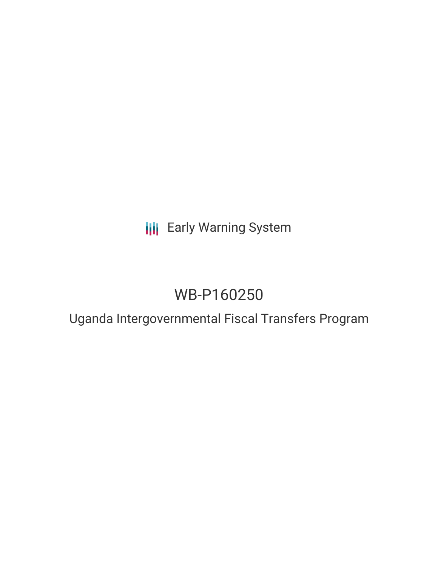**III** Early Warning System

# WB-P160250

## Uganda Intergovernmental Fiscal Transfers Program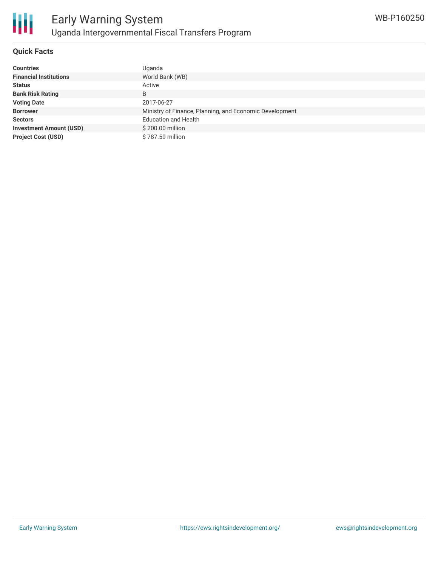

### **Quick Facts**

| <b>Countries</b>               | Uganda                                                  |
|--------------------------------|---------------------------------------------------------|
| <b>Financial Institutions</b>  | World Bank (WB)                                         |
| <b>Status</b>                  | Active                                                  |
| <b>Bank Risk Rating</b>        | B                                                       |
| <b>Voting Date</b>             | 2017-06-27                                              |
| <b>Borrower</b>                | Ministry of Finance, Planning, and Economic Development |
| <b>Sectors</b>                 | <b>Education and Health</b>                             |
| <b>Investment Amount (USD)</b> | \$200.00 million                                        |
| <b>Project Cost (USD)</b>      | \$787.59 million                                        |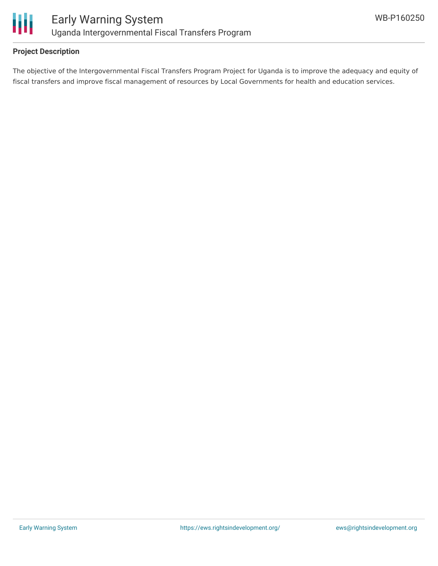

### **Project Description**

The objective of the Intergovernmental Fiscal Transfers Program Project for Uganda is to improve the adequacy and equity of fiscal transfers and improve fiscal management of resources by Local Governments for health and education services.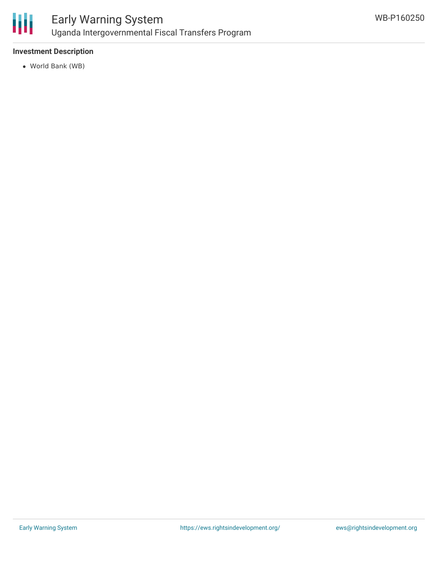

### Early Warning System Uganda Intergovernmental Fiscal Transfers Program

### **Investment Description**

World Bank (WB)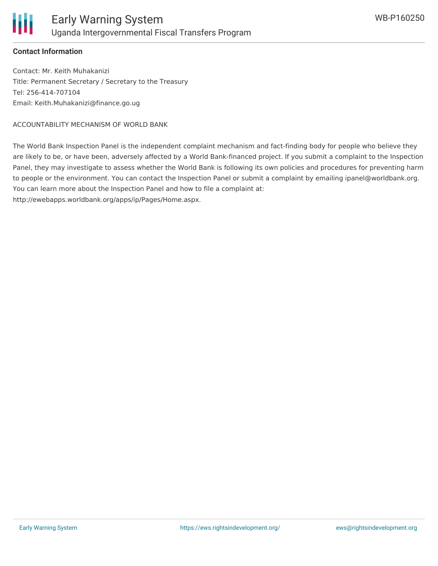

### **Contact Information**

Contact: Mr. Keith Muhakanizi Title: Permanent Secretary / Secretary to the Treasury Tel: 256-414-707104 Email: Keith.Muhakanizi@finance.go.ug

ACCOUNTABILITY MECHANISM OF WORLD BANK

The World Bank Inspection Panel is the independent complaint mechanism and fact-finding body for people who believe they are likely to be, or have been, adversely affected by a World Bank-financed project. If you submit a complaint to the Inspection Panel, they may investigate to assess whether the World Bank is following its own policies and procedures for preventing harm to people or the environment. You can contact the Inspection Panel or submit a complaint by emailing ipanel@worldbank.org. You can learn more about the Inspection Panel and how to file a complaint at:

http://ewebapps.worldbank.org/apps/ip/Pages/Home.aspx.